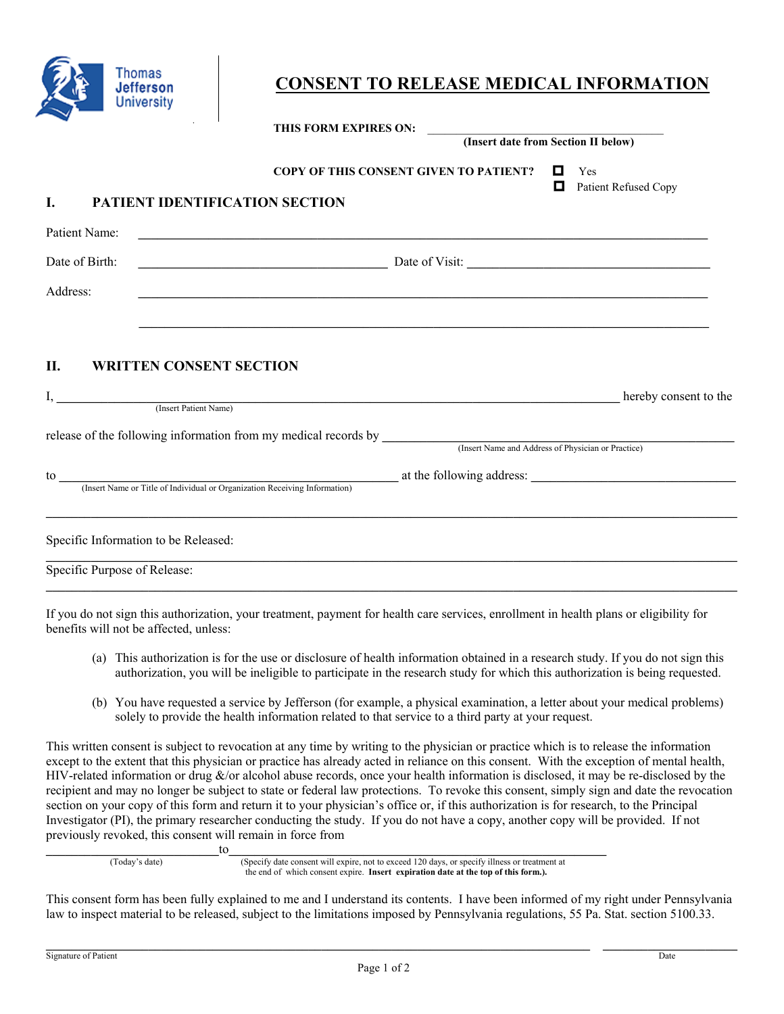

# **CONSENT TO RELEASE MEDICAL INFORMATION**

|                                                                      | THIS FORM EXPIRES ON: (Insert date from Section II below)                                                                 |                                       |
|----------------------------------------------------------------------|---------------------------------------------------------------------------------------------------------------------------|---------------------------------------|
|                                                                      | <b>COPY OF THIS CONSENT GIVEN TO PATIENT?</b>                                                                             | О<br>Yes<br>O<br>Patient Refused Copy |
| PATIENT IDENTIFICATION SECTION                                       |                                                                                                                           |                                       |
| Patient Name:                                                        | <u> 1989 - Jan James James James James James James James James James James James James James James James James J</u>      |                                       |
| Date of Birth:                                                       | Date of Visit:                                                                                                            |                                       |
| Address:                                                             |                                                                                                                           |                                       |
|                                                                      | ,我们也不会有什么?""我们的人,我们也不会有什么?""我们的人,我们也不会有什么?""我们的人,我们也不会有什么?""我们的人,我们也不会有什么?""我们的人                                          |                                       |
|                                                                      |                                                                                                                           |                                       |
| II.<br><b>WRITTEN CONSENT SECTION</b>                                |                                                                                                                           |                                       |
|                                                                      |                                                                                                                           |                                       |
|                                                                      |                                                                                                                           | hereby consent to the                 |
|                                                                      | I, (Insert Patient Name)                                                                                                  |                                       |
|                                                                      |                                                                                                                           |                                       |
|                                                                      | release of the following information from my medical records by <i>(Insert Name and Address of Physician or Practice)</i> |                                       |
|                                                                      |                                                                                                                           |                                       |
|                                                                      |                                                                                                                           |                                       |
|                                                                      |                                                                                                                           |                                       |
| Specific Information to be Released:<br>Specific Purpose of Release: |                                                                                                                           |                                       |

If you do not sign this authorization, your treatment, payment for health care services, enrollment in health plans or eligibility for benefits will not be affected, unless:

- (a) This authorization is for the use or disclosure of health information obtained in a research study. If you do not sign this authorization, you will be ineligible to participate in the research study for which this authorization is being requested.
- (b) You have requested a service by Jefferson (for example, a physical examination, a letter about your medical problems) solely to provide the health information related to that service to a third party at your request.

This written consent is subject to revocation at any time by writing to the physician or practice which is to release the information except to the extent that this physician or practice has already acted in reliance on this consent. With the exception of mental health, HIV-related information or drug &/or alcohol abuse records, once your health information is disclosed, it may be re-disclosed by the recipient and may no longer be subject to state or federal law protections. To revoke this consent, simply sign and date the revocation section on your copy of this form and return it to your physician's office or, if this authorization is for research, to the Principal Investigator (PI), the primary researcher conducting the study. If you do not have a copy, another copy will be provided. If not previously revoked, this consent will remain in force from

**\_\_\_\_\_\_\_\_\_\_\_\_\_\_\_\_\_\_\_\_\_\_\_\_\_\_\_**to**\_\_\_\_\_\_\_\_\_\_\_\_\_\_\_\_\_\_\_\_\_\_\_\_\_\_\_\_\_\_\_\_\_\_\_\_\_\_\_\_\_\_\_\_\_\_\_\_\_\_\_\_\_\_\_\_\_\_\_** (Today's date) (Specify date consent will expire, not to exceed 120 days, or specify illness or treatment at the end of which consent expire. **Insert expiration date at the top of this form.).**

This consent form has been fully explained to me and I understand its contents. I have been informed of my right under Pennsylvania law to inspect material to be released, subject to the limitations imposed by Pennsylvania regulations, 55 Pa. Stat. section 5100.33.